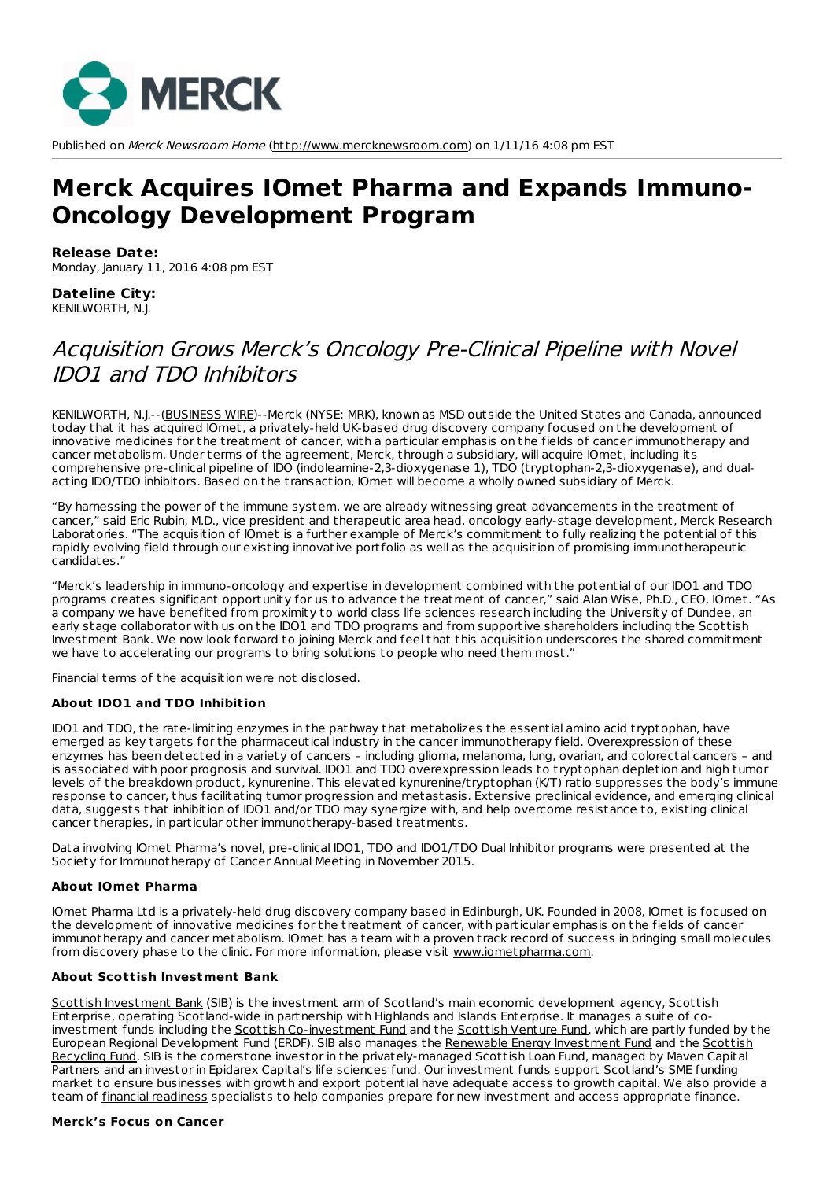

Published on Merck Newsroom Home [\(http://www.mercknewsroom.com](http://www.mercknewsroom.com)) on 1/11/16 4:08 pm EST

# **Merck Acquires IOmet Pharma and Expands Immuno-Oncology Development Program**

#### **Release Date:**

Monday, January 11, 2016 4:08 pm EST

#### **Dateline City:** KENILWORTH, N.J.

## Acquisition Grows Merck's Oncology Pre-Clinical Pipeline with Novel IDO1 and TDO Inhibitors

KENILWORTH, N.J.--[\(BUSINESS](http://www.businesswire.com) WIRE)--Merck (NYSE: MRK), known as MSD outside the United States and Canada, announced today that it has acquired IOmet, a privately-held UK-based drug discovery company focused on the development of innovative medicines for the t reatment of cancer, with a particular emphasis on the fields of cancer immunotherapy and cancer metabolism. Under terms of the agreement, Merck, through a subsidiary, will acquire IOmet, including its comprehensive pre-clinical pipeline of IDO (indoleamine-2,3-dioxygenase 1), TDO (t ryptophan-2,3-dioxygenase), and dualacting IDO/TDO inhibitors. Based on the t ransaction, IOmet will become a wholly owned subsidiary of Merck.

"By harnessing the power of the immune system, we are already witnessing great advancements in the t reatment of cancer," said Eric Rubin, M.D., vice president and therapeutic area head, oncology early-stage development, Merck Research Laboratories. "The acquisition of IOmet is a further example of Merck's commitment to fully realizing the potential of this rapidly evolving field through our existing innovative portfolio as well as the acquisition of promising immunotherapeutic candidates."

"Merck's leadership in immuno-oncology and expertise in development combined with the potential of our IDO1 and TDO programs creates significant opportunity for us to advance the t reatment of cancer," said Alan Wise, Ph.D., CEO, IOmet. "As a company we have benefited from proximity to world class life sciences research including the University of Dundee, an early stage collaborator with us on the IDO1 and TDO programs and from supportive shareholders including the Scottish Investment Bank. We now look forward to joining Merck and feel that this acquisition underscores the shared commitment we have to accelerating our programs to bring solutions to people who need them most."

Financial terms of the acquisition were not disclosed.

#### **About IDO1 and TDO Inhibition**

IDO1 and TDO, the rate-limiting enzymes in the pathway that metabolizes the essential amino acid t ryptophan, have emerged as key targets for the pharmaceutical industry in the cancer immunotherapy field. Overexpression of these enzymes has been detected in a variety of cancers – including glioma, melanoma, lung, ovarian, and colorectal cancers – and is associated with poor prognosis and survival. IDO1 and TDO overexpression leads to t ryptophan depletion and high tumor levels of the breakdown product, kynurenine. This elevated kynurenine/t ryptophan (K/T) ratio suppresses the body's immune response to cancer, thus facilitating tumor progression and metastasis. Extensive preclinical evidence, and emerging clinical data, suggests that inhibition of IDO1 and/or TDO may synergize with, and help overcome resistance to, existing clinical cancer therapies, in particular other immunotherapy-based t reatments.

Data involving IOmet Pharma's novel, pre-clinical IDO1, TDO and IDO1/TDO Dual Inhibitor programs were presented at the Society for Immunotherapy of Cancer Annual Meeting in November 2015.

#### **About IOmet Pharma**

IOmet Pharma Ltd is a privately-held drug discovery company based in Edinburgh, UK. Founded in 2008, IOmet is focused on the development of innovative medicines for the t reatment of cancer, with particular emphasis on the fields of cancer immunotherapy and cancer metabolism. IOmet has a team with a proven t rack record of success in bringing small molecules from discovery phase to the clinic. For more information, please visit [www.iometpharma.com](http://cts.businesswire.com/ct/CT?id=smartlink&url=http%3A%2F%2Fiometpharma.com&esheet=51256552&newsitemid=20160111006513&lan=en-US&anchor=www.iometpharma.com&index=1&md5=06d63b11f09812e5ab8b96322405297d).

#### **About Scottish Investment Bank**

Scottish [Investment](http://cts.businesswire.com/ct/CT?id=smartlink&url=http%3A%2F%2Fwww.scottish-enterprise.com%2Fsib&esheet=51256552&newsitemid=20160111006513&lan=en-US&anchor=Scottish+Investment+Bank&index=2&md5=de282797af0e19a83515aa63e1bc8df1) Bank (SIB) is the investment arm of Scotland's main economic development agency, Scottish Enterprise, operating Scotland-wide in partnership with Highlands and Islands Enterprise. It manages a suite of co-investment funds including the Scottish [Co-investment](http://cts.businesswire.com/ct/CT?id=smartlink&url=http%3A%2F%2Fwww.scottish-enterprise.com%2Fservices%2Fattract-investment%2Fscottish-coinvestment-fund%2Fscif-overview&esheet=51256552&newsitemid=20160111006513&lan=en-US&anchor=Scottish+Co-investment+Fund&index=3&md5=942ff92b7f98ad39cc9e282928ebd5ba) Fund and the [Scottish](http://cts.businesswire.com/ct/CT?id=smartlink&url=http%3A%2F%2Fwww.scottish-enterprise.com%2Fservices%2Fattract-investment%2Fscottish-venture-fund%2Fsvf-overview&esheet=51256552&newsitemid=20160111006513&lan=en-US&anchor=Scottish+Venture+Fund&index=4&md5=c63f820c17f996c428ed3a96e2f651ca) Venture Fund, which are partly funded by the European Regional Development Fund (ERDF). SIB also manages the Renewable Energy [Investment](http://cts.businesswire.com/ct/CT?id=smartlink&url=http%3A%2F%2Fwww.scottish-enterprise.com%2Fservices%2Fattract-investment%2Frenewable-energy-investment-fund%2Foverview&esheet=51256552&newsitemid=20160111006513&lan=en-US&anchor=Renewable+Energy+Investment+Fund&index=5&md5=ba38720fc6c47914668b5602b29d70c4) Fund and the Scottish Recycling Fund. SIB is the cornerstone investor in the [privately-managed](http://cts.businesswire.com/ct/CT?id=smartlink&url=http%3A%2F%2Fwww.scottish-enterprise.com%2Fservices%2Fattract-investment%2Fscottish-recycling-fund%2Foverview&esheet=51256552&newsitemid=20160111006513&lan=en-US&anchor=Scottish+Recycling+Fund&index=6&md5=199c40e8911c77d31ac9c878a8d2c2a8) Scottish Loan Fund, managed by Maven Capital Partners and an investor in Epidarex Capital's life sciences fund. Our investment funds support Scotland's SME funding market to ensure businesses with growth and export potential have adequate access to growth capital. We also provide a team of financial [readiness](http://cts.businesswire.com/ct/CT?id=smartlink&url=http%3A%2F%2Fwww.scottish-enterprise.com%2Fservices%2Fattract-investment%2Ffinancial-readiness-support%2Foverview&esheet=51256552&newsitemid=20160111006513&lan=en-US&anchor=financial+readiness&index=7&md5=9581822198d068ddef1b4ce9abf71a32) specialists to help companies prepare for new investment and access appropriate finance.

#### **Merck's Focus on Cancer**